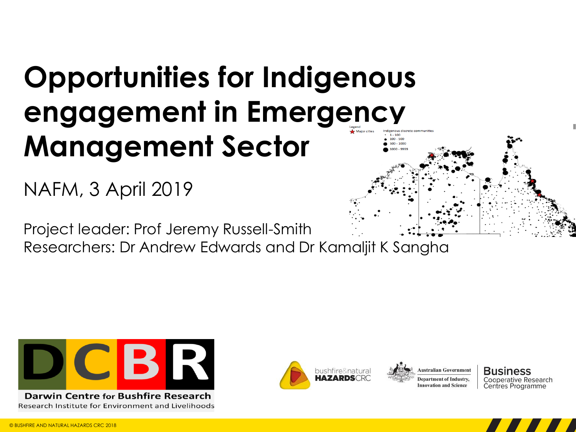### **Opportunities for Indigenous engagement in Emergency**   $1 - 100$ **Management Sector**  $100 - 500$  $500 - 1000$

NAFM, 3 April 2019

Project leader: Prof Jeremy Russell-Smith

Researchers: Dr Andrew Edwards and Dr Kamaljit K Sangha



**Darwin Centre for Bushfire Research** Research Institute for Environment and Livelihoods



**Business** Cooperative Research Centres Programme

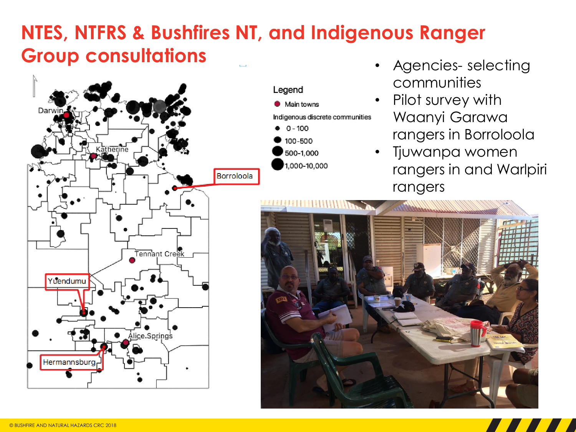## **NTES, NTFRS & Bushfires NT, and Indigenous Ranger Group consultations**





- Agencies- selecting communities
- Pilot survey with Waanyi Garawa rangers in Borroloola
- Tjuwanpa women rangers in and Warlpiri rangers



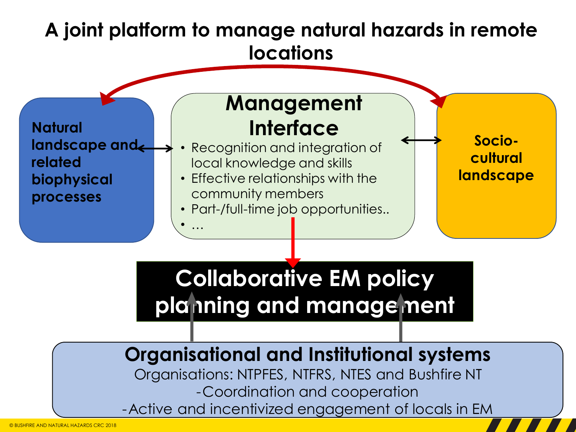#### **Sociocultural landscape Natural**  landscape and **related biophysical processes Collaborative EM policy planning and management Management Interface** • Recognition and integration of local knowledge and skills • Effective relationships with the community members • Part-/full-time job opportunities.. • … **A joint platform to manage natural hazards in remote locations**

## **Organisational and Institutional systems**

Organisations: NTPFES, NTFRS, NTES and Bushfire NT -Coordination and cooperation -Active and incentivized engagement of locals in EM